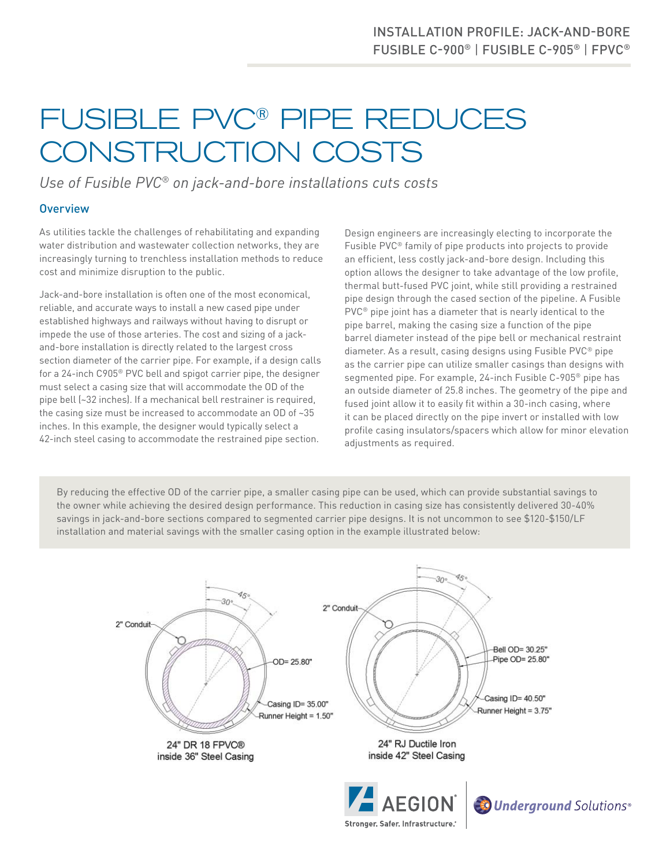# FUSIBLE PVC® PIPE REDUCES CONSTRUCTION COSTS

*Use of Fusible PVC® on jack-and-bore installations cuts costs*

## **Overview**

As utilities tackle the challenges of rehabilitating and expanding water distribution and wastewater collection networks, they are increasingly turning to trenchless installation methods to reduce cost and minimize disruption to the public.

Jack-and-bore installation is often one of the most economical, reliable, and accurate ways to install a new cased pipe under established highways and railways without having to disrupt or impede the use of those arteries. The cost and sizing of a jackand-bore installation is directly related to the largest cross section diameter of the carrier pipe. For example, if a design calls for a 24-inch C905® PVC bell and spigot carrier pipe, the designer must select a casing size that will accommodate the OD of the pipe bell (~32 inches). If a mechanical bell restrainer is required, the casing size must be increased to accommodate an OD of ~35 inches. In this example, the designer would typically select a 42-inch steel casing to accommodate the restrained pipe section.

Design engineers are increasingly electing to incorporate the Fusible PVC® family of pipe products into projects to provide an efficient, less costly jack-and-bore design. Including this option allows the designer to take advantage of the low profile, thermal butt-fused PVC joint, while still providing a restrained pipe design through the cased section of the pipeline. A Fusible PVC® pipe joint has a diameter that is nearly identical to the pipe barrel, making the casing size a function of the pipe barrel diameter instead of the pipe bell or mechanical restraint diameter. As a result, casing designs using Fusible PVC® pipe as the carrier pipe can utilize smaller casings than designs with segmented pipe. For example, 24-inch Fusible C-905® pipe has an outside diameter of 25.8 inches. The geometry of the pipe and fused joint allow it to easily fit within a 30-inch casing, where it can be placed directly on the pipe invert or installed with low profile casing insulators/spacers which allow for minor elevation adjustments as required.

By reducing the effective OD of the carrier pipe, a smaller casing pipe can be used, which can provide substantial savings to the owner while achieving the desired design performance. This reduction in casing size has consistently delivered 30-40% savings in jack-and-bore sections compared to segmented carrier pipe designs. It is not uncommon to see \$120-\$150/LF installation and material savings with the smaller casing option in the example illustrated below: